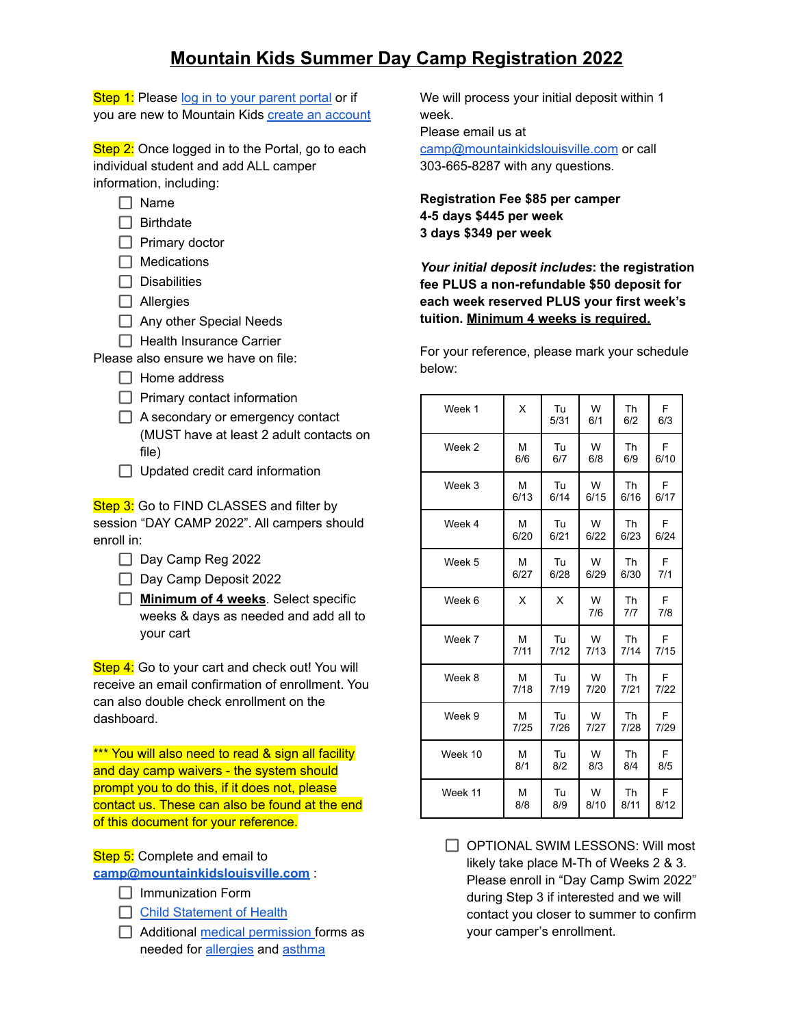Step 1: Please log in to your [parent](https://app3.jackrabbitclass.com/jr3.0/ParentPortal/Login?orgId=135459) portal or if you are new to Mountain Kids create an [account](https://app3.jackrabbitclass.com/regv2.asp?id=135459&hc=2,3,4,6,8,9,10)

Step 2: Once logged in to the Portal, go to each individual student and add ALL camper information, including:

- $\Box$  Name
- $\Box$  Birthdate
- $\Box$  Primary doctor
- $\Box$  Medications
- $\Box$  Disabilities
- □ Allergies
- Any other Special Needs
- $\Box$  Health Insurance Carrier

Please also ensure we have on file:

- $\Box$  Home address
- $\Box$  Primary contact information
- $\Box$  A secondary or emergency contact (MUST have at least 2 adult contacts on file)
- $\Box$  Updated credit card information

Step 3: Go to FIND CLASSES and filter by session "DAY CAMP 2022". All campers should enroll in:

- $\Box$  Day Camp Reg 2022
- Day Camp Deposit 2022
- **Minimum of 4 weeks**. Select specific weeks & days as needed and add all to your cart

Step 4: Go to your cart and check out! You will receive an email confirmation of enrollment. You can also double check enrollment on the dashboard.

\*\*\* You will also need to read & sign all facility and day camp waivers - the system should prompt you to do this, if it does not, please contact us. These can also be found at the end of this document for your reference.

Step 5: Complete and email to **[camp@mountainkidslouisville.com](mailto:camp@mountainkidslouisville.com)** :

- $\Box$  Immunization Form
- □ Child [Statement](https://mountainkidslouisville.com/wp-content/uploads/2015/06/Childs-Statement-of-Health-Status.pdf) of Health
- $\Box$  Additional medical [permission](https://mountainkidslouisville.com/wp-content/uploads/2015/06/Med-Administration-Permission.pdf) forms as needed for [allergies](https://mountainkidslouisville.com/wp-content/uploads/2015/07/Allergy-action-plan-No-twin-ject-may-2011-BEST-one-ever.pdf) and [asthma](https://mountainkidslouisville.com/wp-content/uploads/2015/06/Asthma-action-plan-2015.pdf)

We will process your initial deposit within 1 week. Please email us at

[camp@mountainkidslouisville.com](mailto:camp@mountainkidslouisville.com) or call 303-665-8287 with any questions.

**Registration Fee \$85 per camper 4-5 days \$445 per week 3 days \$349 per week**

*Your initial deposit includes***: the registration fee PLUS a non-refundable \$50 deposit for each week reserved PLUS your first week's tuition. Minimum 4 weeks is required.**

For your reference, please mark your schedule below:

| Week 1  | X    | Tu<br>5/31 | W<br>6/1 | Th<br>6/2 | F<br>6/3 |
|---------|------|------------|----------|-----------|----------|
| Week 2  | M    | Tu         | W        | Th        | F        |
|         | 6/6  | 6/7        | 6/8      | 6/9       | 6/10     |
| Week 3  | M    | Tu         | W        | Th        | E        |
|         | 6/13 | 6/14       | 6/15     | 6/16      | 6/17     |
| Week 4  | м    | Tu         | W        | Th        | F        |
|         | 6/20 | 6/21       | 6/22     | 6/23      | 6/24     |
| Week 5  | М    | Tu         | W        | Th        | F        |
|         | 6/27 | 6/28       | 6/29     | 6/30      | 7/1      |
| Week 6  | X    | X          | W<br>7/6 | Th<br>7/7 | F<br>7/8 |
| Week 7  | M    | Tu         | W        | Th        | F        |
|         | 7/11 | 7/12       | 7/13     | 7/14      | 7/15     |
| Week 8  | M    | Tu         | W        | <b>Th</b> | F        |
|         | 7/18 | 7/19       | 7/20     | 7/21      | 7/22     |
| Week 9  | м    | Tu         | W        | Th        | F        |
|         | 7/25 | 7/26       | 7/27     | 7/28      | 7/29     |
| Week 10 | M    | Tu         | W        | Th        | F        |
|         | 8/1  | 8/2        | 8/3      | 8/4       | 8/5      |
| Week 11 | М    | Tu         | W        | Th        | F        |
|         | 8/8  | 8/9        | 8/10     | 8/11      | 8/12     |

OPTIONAL SWIM LESSONS: Will most likely take place M-Th of Weeks 2 & 3. Please enroll in "Day Camp Swim 2022" during Step 3 if interested and we will contact you closer to summer to confirm your camper's enrollment.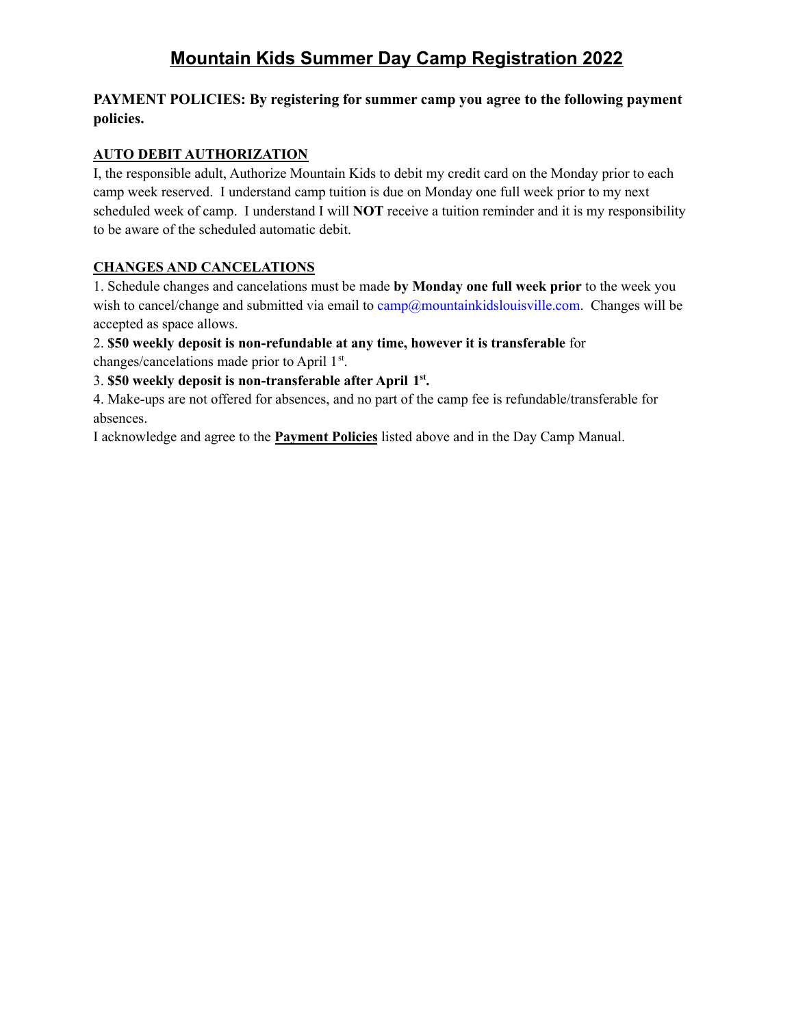## **PAYMENT POLICIES: By registering for summer camp you agree to the following payment policies.**

## **AUTO DEBIT AUTHORIZATION**

I, the responsible adult, Authorize Mountain Kids to debit my credit card on the Monday prior to each camp week reserved. I understand camp tuition is due on Monday one full week prior to my next scheduled week of camp. I understand I will **NOT** receive a tuition reminder and it is my responsibility to be aware of the scheduled automatic debit.

## **CHANGES AND CANCELATIONS**

1. Schedule changes and cancelations must be made **by Monday one full week prior** to the week you wish to cancel/change and submitted via email to camp@mountainkidslouisville.com. Changes will be accepted as space allows.

## 2. **\$50 weekly deposit is non-refundable at any time, however it is transferable** for

changes/cancelations made prior to April 1<sup>st</sup>.

## 3. **\$50 weekly deposit is non-transferable after April 1 st .**

4. Make-ups are not offered for absences, and no part of the camp fee is refundable/transferable for absences.

I acknowledge and agree to the **Payment Policies** listed above and in the Day Camp Manual.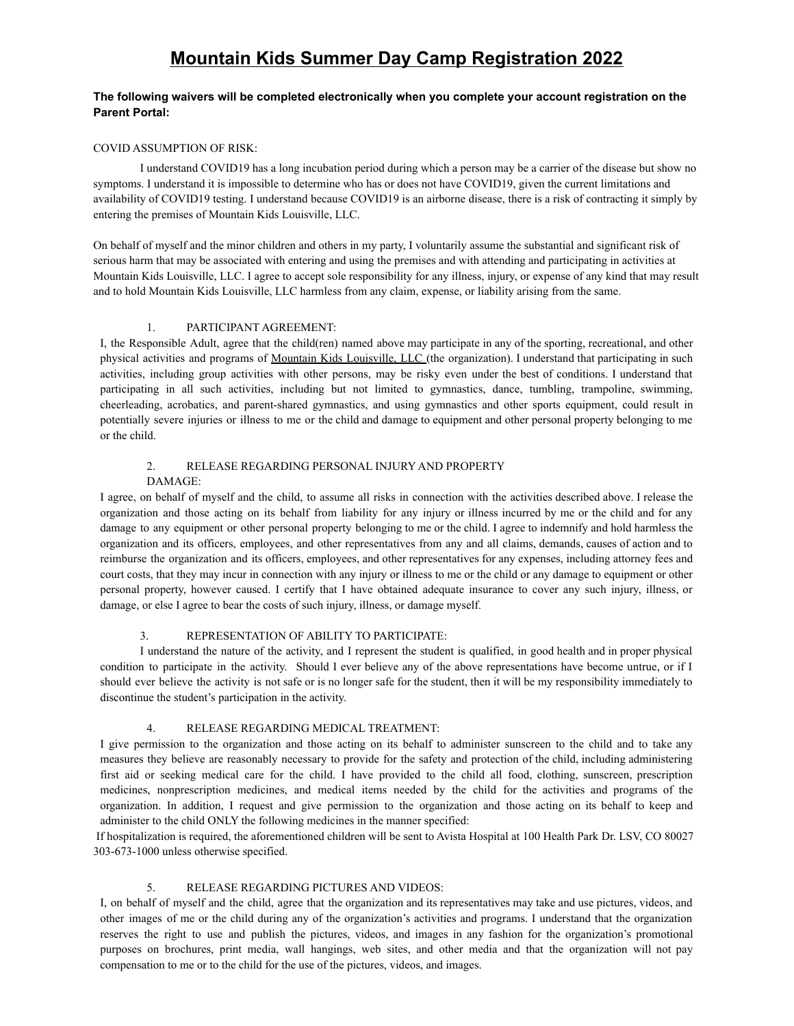#### **The following waivers will be completed electronically when you complete your account registration on the Parent Portal:**

#### COVID ASSUMPTION OF RISK:

I understand COVID19 has a long incubation period during which a person may be a carrier of the disease but show no symptoms. I understand it is impossible to determine who has or does not have COVID19, given the current limitations and availability of COVID19 testing. I understand because COVID19 is an airborne disease, there is a risk of contracting it simply by entering the premises of Mountain Kids Louisville, LLC.

On behalf of myself and the minor children and others in my party, I voluntarily assume the substantial and significant risk of serious harm that may be associated with entering and using the premises and with attending and participating in activities at Mountain Kids Louisville, LLC. I agree to accept sole responsibility for any illness, injury, or expense of any kind that may result and to hold Mountain Kids Louisville, LLC harmless from any claim, expense, or liability arising from the same.

#### 1. PARTICIPANT AGREEMENT:

I, the Responsible Adult, agree that the child(ren) named above may participate in any of the sporting, recreational, and other physical activities and programs of Mountain Kids Louisville, LLC (the organization). I understand that participating in such activities, including group activities with other persons, may be risky even under the best of conditions. I understand that participating in all such activities, including but not limited to gymnastics, dance, tumbling, trampoline, swimming, cheerleading, acrobatics, and parent-shared gymnastics, and using gymnastics and other sports equipment, could result in potentially severe injuries or illness to me or the child and damage to equipment and other personal property belonging to me or the child.

### 2. RELEASE REGARDING PERSONAL INJURY AND PROPERTY

#### DAMAGE:

I agree, on behalf of myself and the child, to assume all risks in connection with the activities described above. I release the organization and those acting on its behalf from liability for any injury or illness incurred by me or the child and for any damage to any equipment or other personal property belonging to me or the child. I agree to indemnify and hold harmless the organization and its officers, employees, and other representatives from any and all claims, demands, causes of action and to reimburse the organization and its officers, employees, and other representatives for any expenses, including attorney fees and court costs, that they may incur in connection with any injury or illness to me or the child or any damage to equipment or other personal property, however caused. I certify that I have obtained adequate insurance to cover any such injury, illness, or damage, or else I agree to bear the costs of such injury, illness, or damage myself.

#### 3. REPRESENTATION OF ABILITY TO PARTICIPATE:

I understand the nature of the activity, and I represent the student is qualified, in good health and in proper physical condition to participate in the activity. Should I ever believe any of the above representations have become untrue, or if I should ever believe the activity is not safe or is no longer safe for the student, then it will be my responsibility immediately to discontinue the student's participation in the activity.

#### 4. RELEASE REGARDING MEDICAL TREATMENT:

I give permission to the organization and those acting on its behalf to administer sunscreen to the child and to take any measures they believe are reasonably necessary to provide for the safety and protection of the child, including administering first aid or seeking medical care for the child. I have provided to the child all food, clothing, sunscreen, prescription medicines, nonprescription medicines, and medical items needed by the child for the activities and programs of the organization. In addition, I request and give permission to the organization and those acting on its behalf to keep and administer to the child ONLY the following medicines in the manner specified:

If hospitalization is required, the aforementioned children will be sent to Avista Hospital at 100 Health Park Dr. LSV, CO 80027 303-673-1000 unless otherwise specified.

#### 5. RELEASE REGARDING PICTURES AND VIDEOS:

I, on behalf of myself and the child, agree that the organization and its representatives may take and use pictures, videos, and other images of me or the child during any of the organization's activities and programs. I understand that the organization reserves the right to use and publish the pictures, videos, and images in any fashion for the organization's promotional purposes on brochures, print media, wall hangings, web sites, and other media and that the organization will not pay compensation to me or to the child for the use of the pictures, videos, and images.